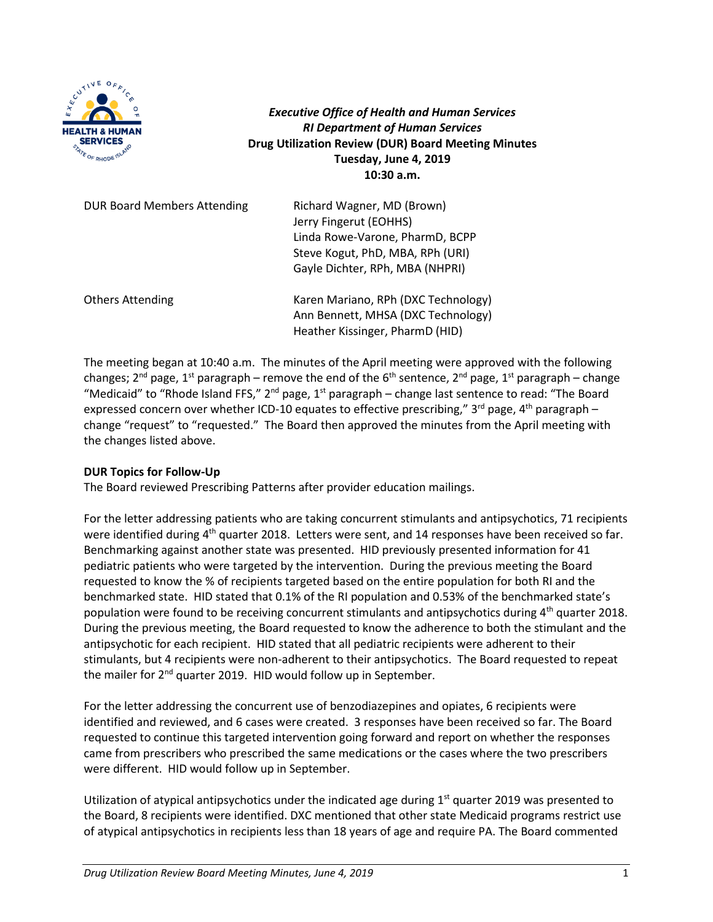

*Executive Office of Health and Human Services RI Department of Human Services* **Drug Utilization Review (DUR) Board Meeting Minutes Tuesday, June 4, 2019 10:30 a.m.**

| <b>DUR Board Members Attending</b> | Richard Wagner, MD (Brown)<br>Jerry Fingerut (EOHHS)<br>Linda Rowe-Varone, PharmD, BCPP<br>Steve Kogut, PhD, MBA, RPh (URI)<br>Gayle Dichter, RPh, MBA (NHPRI) |
|------------------------------------|----------------------------------------------------------------------------------------------------------------------------------------------------------------|
| <b>Others Attending</b>            | Karen Mariano, RPh (DXC Technology)<br>Ann Bennett, MHSA (DXC Technology)<br>Heather Kissinger, PharmD (HID)                                                   |

The meeting began at 10:40 a.m. The minutes of the April meeting were approved with the following changes; 2<sup>nd</sup> page, 1<sup>st</sup> paragraph – remove the end of the 6<sup>th</sup> sentence, 2<sup>nd</sup> page, 1<sup>st</sup> paragraph – change "Medicaid" to "Rhode Island FFS," 2<sup>nd</sup> page, 1<sup>st</sup> paragraph – change last sentence to read: "The Board expressed concern over whether ICD-10 equates to effective prescribing,"  $3^{rd}$  page,  $4^{th}$  paragraph – change "request" to "requested." The Board then approved the minutes from the April meeting with the changes listed above.

# **DUR Topics for Follow-Up**

The Board reviewed Prescribing Patterns after provider education mailings.

For the letter addressing patients who are taking concurrent stimulants and antipsychotics, 71 recipients were identified during  $4<sup>th</sup>$  quarter 2018. Letters were sent, and 14 responses have been received so far. Benchmarking against another state was presented. HID previously presented information for 41 pediatric patients who were targeted by the intervention. During the previous meeting the Board requested to know the % of recipients targeted based on the entire population for both RI and the benchmarked state. HID stated that 0.1% of the RI population and 0.53% of the benchmarked state's population were found to be receiving concurrent stimulants and antipsychotics during 4th quarter 2018. During the previous meeting, the Board requested to know the adherence to both the stimulant and the antipsychotic for each recipient. HID stated that all pediatric recipients were adherent to their stimulants, but 4 recipients were non-adherent to their antipsychotics. The Board requested to repeat the mailer for  $2^{nd}$  quarter 2019. HID would follow up in September.

For the letter addressing the concurrent use of benzodiazepines and opiates, 6 recipients were identified and reviewed, and 6 cases were created. 3 responses have been received so far. The Board requested to continue this targeted intervention going forward and report on whether the responses came from prescribers who prescribed the same medications or the cases where the two prescribers were different. HID would follow up in September.

Utilization of atypical antipsychotics under the indicated age during 1<sup>st</sup> quarter 2019 was presented to the Board, 8 recipients were identified. DXC mentioned that other state Medicaid programs restrict use of atypical antipsychotics in recipients less than 18 years of age and require PA. The Board commented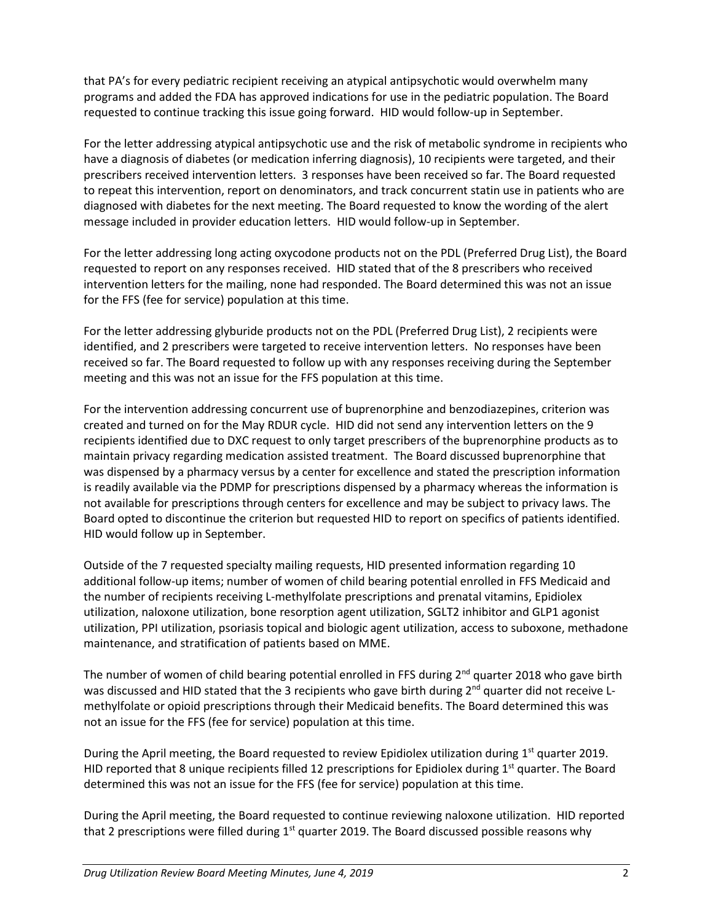that PA's for every pediatric recipient receiving an atypical antipsychotic would overwhelm many programs and added the FDA has approved indications for use in the pediatric population. The Board requested to continue tracking this issue going forward. HID would follow-up in September.

For the letter addressing atypical antipsychotic use and the risk of metabolic syndrome in recipients who have a diagnosis of diabetes (or medication inferring diagnosis), 10 recipients were targeted, and their prescribers received intervention letters. 3 responses have been received so far. The Board requested to repeat this intervention, report on denominators, and track concurrent statin use in patients who are diagnosed with diabetes for the next meeting. The Board requested to know the wording of the alert message included in provider education letters. HID would follow-up in September.

For the letter addressing long acting oxycodone products not on the PDL (Preferred Drug List), the Board requested to report on any responses received. HID stated that of the 8 prescribers who received intervention letters for the mailing, none had responded. The Board determined this was not an issue for the FFS (fee for service) population at this time.

For the letter addressing glyburide products not on the PDL (Preferred Drug List), 2 recipients were identified, and 2 prescribers were targeted to receive intervention letters. No responses have been received so far. The Board requested to follow up with any responses receiving during the September meeting and this was not an issue for the FFS population at this time.

For the intervention addressing concurrent use of buprenorphine and benzodiazepines, criterion was created and turned on for the May RDUR cycle. HID did not send any intervention letters on the 9 recipients identified due to DXC request to only target prescribers of the buprenorphine products as to maintain privacy regarding medication assisted treatment. The Board discussed buprenorphine that was dispensed by a pharmacy versus by a center for excellence and stated the prescription information is readily available via the PDMP for prescriptions dispensed by a pharmacy whereas the information is not available for prescriptions through centers for excellence and may be subject to privacy laws. The Board opted to discontinue the criterion but requested HID to report on specifics of patients identified. HID would follow up in September.

Outside of the 7 requested specialty mailing requests, HID presented information regarding 10 additional follow-up items; number of women of child bearing potential enrolled in FFS Medicaid and the number of recipients receiving L-methylfolate prescriptions and prenatal vitamins, Epidiolex utilization, naloxone utilization, bone resorption agent utilization, SGLT2 inhibitor and GLP1 agonist utilization, PPI utilization, psoriasis topical and biologic agent utilization, access to suboxone, methadone maintenance, and stratification of patients based on MME.

The number of women of child bearing potential enrolled in FFS during  $2^{nd}$  quarter 2018 who gave birth was discussed and HID stated that the 3 recipients who gave birth during 2<sup>nd</sup> quarter did not receive Lmethylfolate or opioid prescriptions through their Medicaid benefits. The Board determined this was not an issue for the FFS (fee for service) population at this time.

During the April meeting, the Board requested to review Epidiolex utilization during  $1<sup>st</sup>$  quarter 2019. HID reported that 8 unique recipients filled 12 prescriptions for Epidiolex during  $1<sup>st</sup>$  quarter. The Board determined this was not an issue for the FFS (fee for service) population at this time.

During the April meeting, the Board requested to continue reviewing naloxone utilization. HID reported that 2 prescriptions were filled during  $1<sup>st</sup>$  quarter 2019. The Board discussed possible reasons why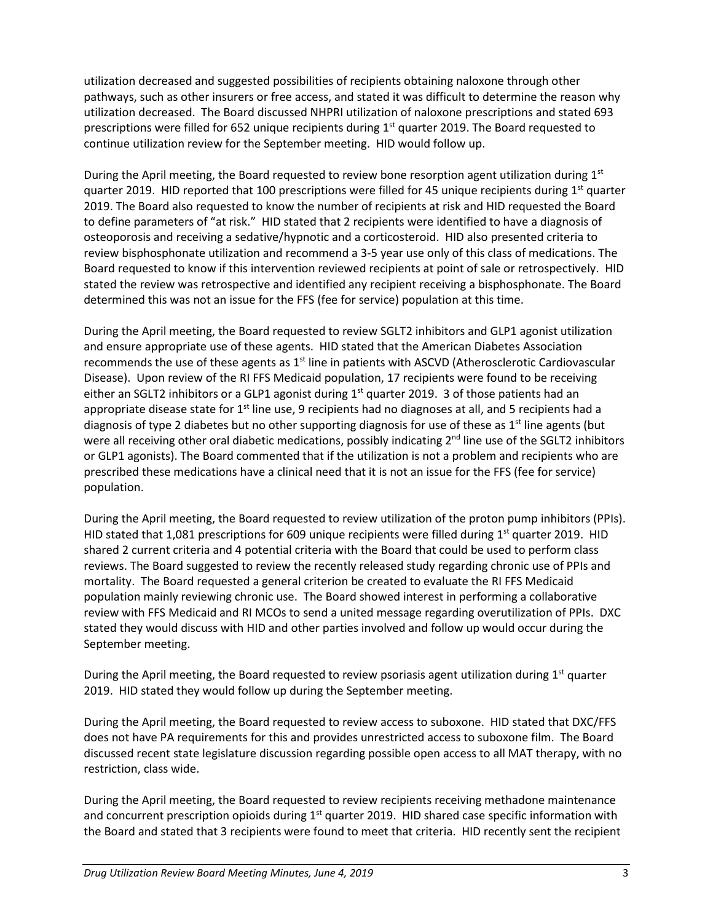utilization decreased and suggested possibilities of recipients obtaining naloxone through other pathways, such as other insurers or free access, and stated it was difficult to determine the reason why utilization decreased. The Board discussed NHPRI utilization of naloxone prescriptions and stated 693 prescriptions were filled for 652 unique recipients during 1<sup>st</sup> quarter 2019. The Board requested to continue utilization review for the September meeting. HID would follow up.

During the April meeting, the Board requested to review bone resorption agent utilization during  $1<sup>st</sup>$ quarter 2019. HID reported that 100 prescriptions were filled for 45 unique recipients during  $1<sup>st</sup>$  quarter 2019. The Board also requested to know the number of recipients at risk and HID requested the Board to define parameters of "at risk." HID stated that 2 recipients were identified to have a diagnosis of osteoporosis and receiving a sedative/hypnotic and a corticosteroid. HID also presented criteria to review bisphosphonate utilization and recommend a 3-5 year use only of this class of medications. The Board requested to know if this intervention reviewed recipients at point of sale or retrospectively. HID stated the review was retrospective and identified any recipient receiving a bisphosphonate. The Board determined this was not an issue for the FFS (fee for service) population at this time.

During the April meeting, the Board requested to review SGLT2 inhibitors and GLP1 agonist utilization and ensure appropriate use of these agents. HID stated that the American Diabetes Association recommends the use of these agents as  $1<sup>st</sup>$  line in patients with ASCVD (Atherosclerotic Cardiovascular Disease). Upon review of the RI FFS Medicaid population, 17 recipients were found to be receiving either an SGLT2 inhibitors or a GLP1 agonist during  $1<sup>st</sup>$  quarter 2019. 3 of those patients had an appropriate disease state for 1<sup>st</sup> line use, 9 recipients had no diagnoses at all, and 5 recipients had a diagnosis of type 2 diabetes but no other supporting diagnosis for use of these as  $1<sup>st</sup>$  line agents (but were all receiving other oral diabetic medications, possibly indicating  $2<sup>nd</sup>$  line use of the SGLT2 inhibitors or GLP1 agonists). The Board commented that if the utilization is not a problem and recipients who are prescribed these medications have a clinical need that it is not an issue for the FFS (fee for service) population.

During the April meeting, the Board requested to review utilization of the proton pump inhibitors (PPIs). HID stated that 1,081 prescriptions for 609 unique recipients were filled during  $1<sup>st</sup>$  quarter 2019. HID shared 2 current criteria and 4 potential criteria with the Board that could be used to perform class reviews. The Board suggested to review the recently released study regarding chronic use of PPIs and mortality. The Board requested a general criterion be created to evaluate the RI FFS Medicaid population mainly reviewing chronic use. The Board showed interest in performing a collaborative review with FFS Medicaid and RI MCOs to send a united message regarding overutilization of PPIs. DXC stated they would discuss with HID and other parties involved and follow up would occur during the September meeting.

During the April meeting, the Board requested to review psoriasis agent utilization during  $1<sup>st</sup>$  quarter 2019. HID stated they would follow up during the September meeting.

During the April meeting, the Board requested to review access to suboxone. HID stated that DXC/FFS does not have PA requirements for this and provides unrestricted access to suboxone film. The Board discussed recent state legislature discussion regarding possible open access to all MAT therapy, with no restriction, class wide.

During the April meeting, the Board requested to review recipients receiving methadone maintenance and concurrent prescription opioids during  $1<sup>st</sup>$  quarter 2019. HID shared case specific information with the Board and stated that 3 recipients were found to meet that criteria. HID recently sent the recipient